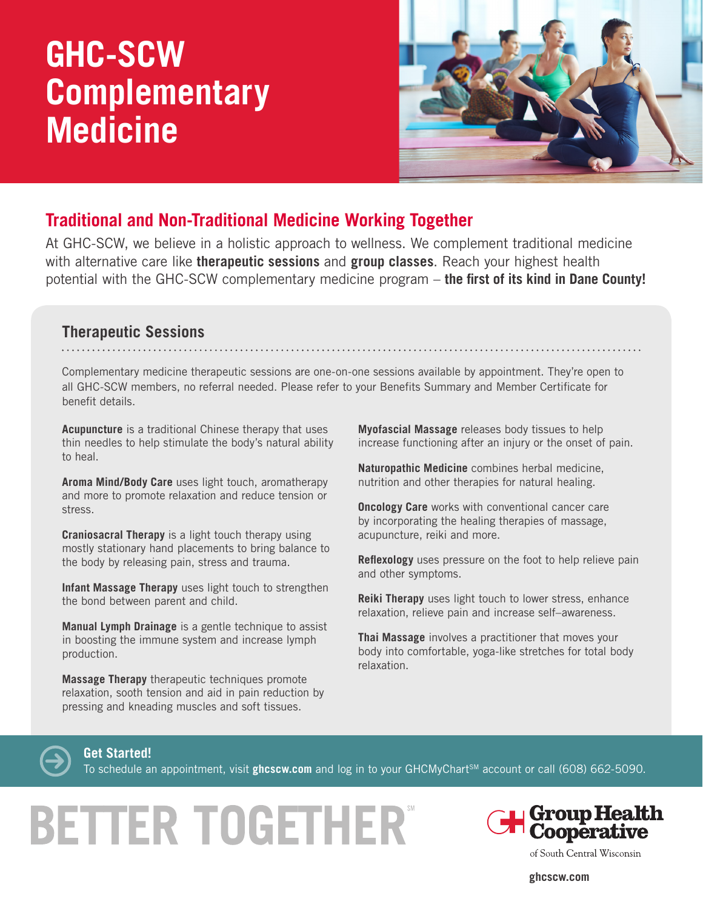## **GHC-SCW Complementary Medicine**



### **Traditional and Non-Traditional Medicine Working Together**

At GHC-SCW, we believe in a holistic approach to wellness. We complement traditional medicine with alternative care like **therapeutic sessions** and **group classes**. Reach your highest health potential with the GHC-SCW complementary medicine program – **the first of its kind in Dane County!**

#### **Therapeutic Sessions**

Complementary medicine therapeutic sessions are one-on-one sessions available by appointment. They're open to all GHC-SCW members, no referral needed. Please refer to your Benefits Summary and Member Certificate for benefit details.

**Acupuncture** is a traditional Chinese therapy that uses thin needles to help stimulate the body's natural ability to heal.

**Aroma Mind/Body Care** uses light touch, aromatherapy and more to promote relaxation and reduce tension or stress.

**Craniosacral Therapy** is a light touch therapy using mostly stationary hand placements to bring balance to the body by releasing pain, stress and trauma.

**Infant Massage Therapy** uses light touch to strengthen the bond between parent and child.

**Manual Lymph Drainage** is a gentle technique to assist in boosting the immune system and increase lymph production.

**Massage Therapy** therapeutic techniques promote relaxation, sooth tension and aid in pain reduction by pressing and kneading muscles and soft tissues.

**Myofascial Massage** releases body tissues to help increase functioning after an injury or the onset of pain.

**Naturopathic Medicine** combines herbal medicine, nutrition and other therapies for natural healing.

**Oncology Care** works with conventional cancer care by incorporating the healing therapies of massage, acupuncture, reiki and more.

**Reflexology** uses pressure on the foot to help relieve pain and other symptoms.

**Reiki Therapy** uses light touch to lower stress, enhance relaxation, relieve pain and increase self–awareness.

**Thai Massage** involves a practitioner that moves your body into comfortable, yoga-like stretches for total body relaxation.



**Get Started!**

To schedule an appointment, visit **ghcscw.com** and log in to your GHCMyChart<sup>sM</sup> account or call (608) 662-5090.

# **BETTER TOGETHER®**



of South Central Wisconsin

**ghcscw.com**